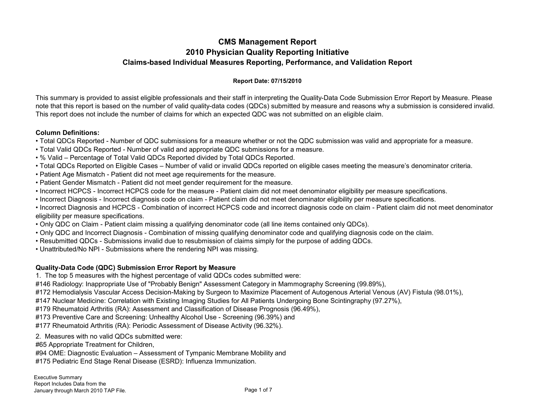# **CMS Management Report 2010 Physician Quality Reporting Initiative Claims-based Individual Measures Reporting, Performance, and Validation Report**

## **Report Date: 07/15/2010**

This summary is provided to assist eligible professionals and their staff in interpreting the Quality-Data Code Submission Error Report by Measure. Please note that this report is based on the number of valid quality-data codes (QDCs) submitted by measure and reasons why a submission is considered invalid. This report does not include the number of claims for which an expected QDC was not submitted on an eligible claim.

### **Column Definitions:**

- Total QDCs Reported Number of QDC submissions for a measure whether or not the QDC submission was valid and appropriate for a measure.
- Total Valid QDCs Reported Number of valid and appropriate QDC submissions for a measure.
- % Valid Percentage of Total Valid QDCs Reported divided by Total QDCs Reported.
- Total QDCs Reported on Eligible Cases Number of valid or invalid QDCs reported on eligible cases meeting the measure's denominator criteria.
- Patient Age Mismatch Patient did not meet age requirements for the measure.
- Patient Gender Mismatch Patient did not meet gender requirement for the measure.
- Incorrect HCPCS Incorrect HCPCS code for the measure Patient claim did not meet denominator eligibility per measure specifications.
- Incorrect Diagnosis Incorrect diagnosis code on claim Patient claim did not meet denominator eligibility per measure specifications.
- Incorrect Diagnosis and HCPCS Combination of incorrect HCPCS code and incorrect diagnosis code on claim Patient claim did not meet denominator eligibility per measure specifications.
- Only QDC on Claim Patient claim missing a qualifying denominator code (all line items contained only QDCs).
- Only QDC and Incorrect Diagnosis Combination of missing qualifying denominator code and qualifying diagnosis code on the claim.
- Resubmitted QDCs Submissions invalid due to resubmission of claims simply for the purpose of adding QDCs.
- Unattributed/No NPI Submissions where the rendering NPI was missing.

# **Quality-Data Code (QDC) Submission Error Report by Measure**

- 1. The top 5 measures with the highest percentage of valid QDCs codes submitted were:
- #146 Radiology: Inappropriate Use of "Probably Benign" Assessment Category in Mammography Screening (99.89%),
- #172 Hemodialysis Vascular Access Decision-Making by Surgeon to Maximize Placement of Autogenous Arterial Venous (AV) Fistula (98.01%),
- #147 Nuclear Medicine: Correlation with Existing Imaging Studies for All Patients Undergoing Bone Scintingraphy (97.27%),
- #179 Rheumatoid Arthritis (RA): Assessment and Classification of Disease Prognosis (96.49%),
- #173 Preventive Care and Screening: Unhealthy Alcohol Use Screening (96.39%) and
- #177 Rheumatoid Arthritis (RA): Periodic Assessment of Disease Activity (96.32%).
- 2. Measures with no valid QDCs submitted were:
- #65 Appropriate Treatment for Children,
- #94 OME: Diagnostic Evaluation Assessment of Tympanic Membrane Mobility and
- #175 Pediatric End Stage Renal Disease (ESRD): Influenza Immunization.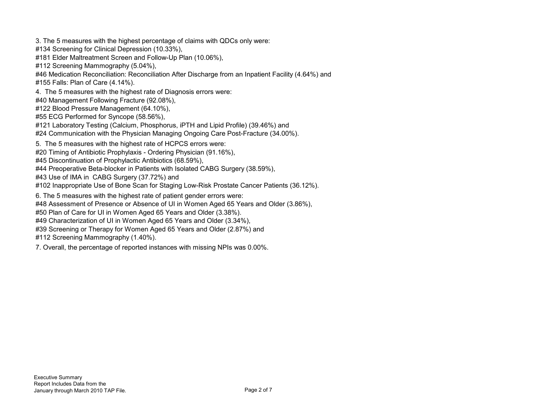- 3. The 5 measures with the highest percentage of claims with QDCs only were:
- #134 Screening for Clinical Depression (10.33%),
- #181 Elder Maltreatment Screen and Follow-Up Plan (10.06%),
- #112 Screening Mammography (5.04%),
- #46 Medication Reconciliation: Reconciliation After Discharge from an Inpatient Facility (4.64%) and
- #155 Falls: Plan of Care (4.14%).
- 4. The 5 measures with the highest rate of Diagnosis errors were:
- #40 Management Following Fracture (92.08%),
- #122 Blood Pressure Management (64.10%),
- #55 ECG Performed for Syncope (58.56%),
- #121 Laboratory Testing (Calcium, Phosphorus, iPTH and Lipid Profile) (39.46%) and
- #24 Communication with the Physician Managing Ongoing Care Post-Fracture (34.00%).
- 5. The 5 measures with the highest rate of HCPCS errors were:
- #20 Timing of Antibiotic Prophylaxis Ordering Physician (91.16%),
- #45 Discontinuation of Prophylactic Antibiotics (68.59%),
- #44 Preoperative Beta-blocker in Patients with Isolated CABG Surgery (38.59%),
- #43 Use of IMA in CABG Surgery (37.72%) and
- #102 Inappropriate Use of Bone Scan for Staging Low-Risk Prostate Cancer Patients (36.12%).
- 6. The 5 measures with the highest rate of patient gender errors were:
- #48 Assessment of Presence or Absence of UI in Women Aged 65 Years and Older (3.86%),
- #50 Plan of Care for UI in Women Aged 65 Years and Older (3.38%).
- #49 Characterization of UI in Women Aged 65 Years and Older (3.34%),
- #39 Screening or Therapy for Women Aged 65 Years and Older (2.87%) and
- #112 Screening Mammography (1.40%).
- 7. Overall, the percentage of reported instances with missing NPIs was 0.00%.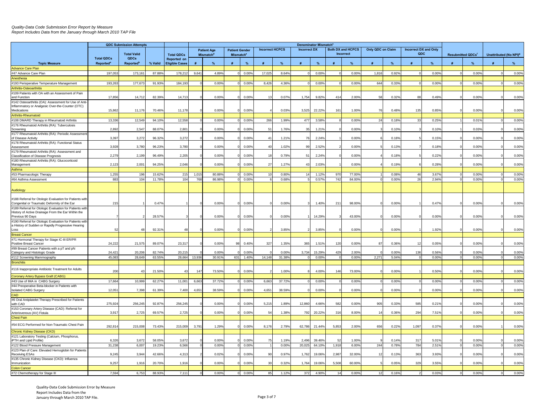*Quality-Data Code Submission Error Report by Measure Report Includes Data from the January through March 2010 TAP File*

|                                                                                            | <b>QDC Submission Attempts</b>             |                               |         |                                      | Denominator Mismatch <sup>c</sup> |                                             |                                                |                |                        |                |                     |                  |             |                                       |                   |                |                                     |       |                                     |                |   |                                    |
|--------------------------------------------------------------------------------------------|--------------------------------------------|-------------------------------|---------|--------------------------------------|-----------------------------------|---------------------------------------------|------------------------------------------------|----------------|------------------------|----------------|---------------------|------------------|-------------|---------------------------------------|-------------------|----------------|-------------------------------------|-------|-------------------------------------|----------------|---|------------------------------------|
|                                                                                            |                                            | <b>Total Valid</b>            |         | <b>Total QDCs</b>                    |                                   | <b>Patient Age</b><br>Mismatch <sup>d</sup> | <b>Patient Gender</b><br>Mismatch <sup>e</sup> |                | <b>Incorrect HCPCS</b> |                | <b>Incorrect DX</b> |                  |             | <b>Both DX and HCPCS</b><br>Incorrect | Only QDC on Claim |                | <b>Incorrect DX and Only</b><br>QDC |       | <b>Resubmitted QDCs<sup>1</sup></b> |                |   | Unattributed (No NPI) <sup>9</sup> |
| <b>Topic Measure</b>                                                                       | <b>Total QDCs</b><br>Reported <sup>a</sup> | QDCs<br>Reported <sup>b</sup> | % Valid | Reported on<br><b>Eligible Cases</b> | #                                 | %                                           |                                                | %              |                        | %              |                     | $\frac{9}{6}$    |             | $\frac{9}{6}$                         |                   | %              |                                     | $\%$  | #                                   | %              | # | %                                  |
| <b>Advance Care Plan</b>                                                                   |                                            |                               |         |                                      |                                   |                                             |                                                |                |                        |                |                     |                  |             |                                       |                   |                |                                     |       |                                     |                |   |                                    |
| #47 Advance Care Plan                                                                      | 197,053                                    | 173,16                        | 87.88%  | 178,212                              | 9,641                             | 4.89%                                       |                                                | 0.00%          | 17,025                 | 8.64%          |                     | 0.00%            |             | 0.00%                                 | 1,816             | 0.92%          |                                     | 0.00% |                                     | 0.00%          |   | 0.00%                              |
| Anesthesia                                                                                 |                                            |                               |         |                                      |                                   |                                             |                                                |                |                        |                |                     |                  |             |                                       |                   |                |                                     |       |                                     |                |   |                                    |
| #193 Perioperative Temperature Management                                                  | 193,263                                    | 177,673                       | 91.93%  | 184,193                              |                                   | 0.00%                                       |                                                | 0.00%          | 8,426                  | 4.36%          |                     | 0.00%            |             | 0.00%                                 | 644               | 0.33%          |                                     | 0.00% |                                     | 0.00%          |   | 0.00%                              |
| Arthritis-Osteoarthritis                                                                   |                                            |                               |         |                                      |                                   |                                             |                                                |                |                        |                |                     |                  |             |                                       |                   |                |                                     |       |                                     |                |   |                                    |
| #109 Patients with OA with an Assessment of Pain<br>and Function                           | 17,856                                     | 14,712                        | 82.39%  | 14,713                               |                                   | 0.00%                                       |                                                | 0.00%          | 13                     | 0.07%          | 1,754               | 9.82%            | 414         | 2.00%                                 | 58                | 0.32%          | 88                                  | 0.49% |                                     | 0.00%          |   | 0.00%                              |
| #142 Osteoarthritis (OA): Assessment for Use of Anti-                                      |                                            |                               |         |                                      |                                   |                                             |                                                |                |                        |                |                     |                  |             |                                       |                   |                |                                     |       |                                     |                |   |                                    |
| Inflammatory or Analgesic Over-the-Counter (OTC)                                           |                                            |                               |         |                                      |                                   |                                             |                                                |                |                        |                |                     |                  |             |                                       |                   |                |                                     |       |                                     |                |   |                                    |
| Medications                                                                                | 15,862                                     | 11,176                        | 70.46%  | 11,178                               |                                   | 0.00%                                       |                                                | 0.00%          |                        | 0.03%          | 3,525               | 22.22%           | 161         | 1.00%                                 | - 76              | 0.48%          | 135                                 | 0.85% |                                     | 0.00%          |   | 0.00%                              |
| Arthritis-Rheumatoid                                                                       |                                            |                               |         |                                      |                                   | 0.00%                                       |                                                |                |                        | 1.99%          |                     |                  |             | 0.00%                                 |                   |                | 33                                  |       |                                     |                |   |                                    |
| #108 DMARD Therapy in Rheumatoid Arthritis<br>#176 Rheumatoid Arthritis (RA): Tuberculosis | 13,336                                     | 12,549                        | 94.10%  | 12,558                               |                                   |                                             |                                                | 0.00%          | 266                    |                | 477                 | 3.58%            |             |                                       | -24               | 0.18%          |                                     | 0.25% |                                     | 0.01%          |   | 0.00%                              |
| Screening                                                                                  | 2,892                                      | 2,547                         | 88.07%  | 2,801                                |                                   | 0.00%                                       |                                                | 0.00%          | 51                     | 1.76%          | 35                  | 1.21%            |             | 0.00%                                 |                   | 0.10%          |                                     | 0.10% |                                     | 0.03%          |   | 0.00%                              |
| #177 Rheumatoid Arthritis (RA): Periodic Assessment                                        |                                            |                               |         |                                      |                                   |                                             |                                                |                |                        |                |                     |                  |             |                                       |                   |                |                                     |       |                                     |                |   |                                    |
| of Disease Activity                                                                        | 3,397                                      | 3,272                         | 96.32%  | 3,272                                |                                   | 0.00%                                       |                                                | 0.00%          | 41                     | 1.21%          | 76                  | 2.24%            |             | 0.00%                                 |                   | 0.18%          |                                     | 0.15% |                                     | 0.00%          |   | 0.00%                              |
| #178 Rheumatoid Arthritis (RA): Functional Status                                          |                                            |                               |         |                                      |                                   |                                             |                                                |                |                        |                |                     |                  |             |                                       |                   |                |                                     |       |                                     |                |   |                                    |
| Assessment                                                                                 | 3,928                                      | 3,780                         | 96.23%  | 3,780                                |                                   | 0.00%                                       |                                                | 0.00%          | 40                     | 1.02%          | 99                  | 2.52%            |             | 0.00%                                 |                   | 0.13%          |                                     | 0.18% |                                     | 0.00%          |   | 0.00%                              |
| #179 Rheumatoid Arthritis (RA): Assessment and                                             | 2,279                                      | 2,199                         | 96.49%  | 2,205                                |                                   | 0.00%                                       |                                                | 0.00%          | 18                     | 0.79%          | 51                  | 2.24%            |             | 0.00%                                 |                   | 0.18%          |                                     | 0.229 |                                     | 0.00%          |   | 0.00%                              |
| Classification of Disease Prognosis<br>#180 Rheumatoid Arthritis (RA): Glucocorticoid      |                                            |                               |         |                                      |                                   |                                             |                                                |                |                        |                |                     |                  |             |                                       |                   |                |                                     |       |                                     |                |   |                                    |
| Management                                                                                 | 2,123                                      | 2,001                         | 94.25%  | 2,046                                |                                   | 0.00%                                       |                                                | 0.00%          | 27                     | 1.27%          | 43                  | 2.03%            |             | 0.00%                                 |                   | 0.19%          |                                     | 0.28% |                                     | 0.00%          |   | 0.00%                              |
| Asthma                                                                                     |                                            |                               |         |                                      |                                   |                                             |                                                |                |                        |                |                     |                  |             |                                       |                   |                |                                     |       |                                     |                |   |                                    |
| #53 Pharmacologic Therapy                                                                  | 1,255                                      | 196                           | 15.62%  | 215                                  | 1,015                             | 80.88%                                      |                                                | 0.00%          | 10                     | 0.80%          |                     | 1.12%            | 970         | 77.00%                                |                   | 0.08%          | 46                                  | 3.67% |                                     | 0.00%          |   | 0.00%                              |
| #64 Asthma Assessment                                                                      | 883                                        | 104                           | 11.78%  | 104                                  | 768                               | 86.98%                                      |                                                | 0.00%          |                        | 0.68%          |                     | 0.57%            | 742         | 84.00%                                |                   | 0.00%          | 26                                  | 2.94% |                                     | 0.00%          |   | 0.00%                              |
|                                                                                            |                                            |                               |         |                                      |                                   |                                             |                                                |                |                        |                |                     |                  |             |                                       |                   |                |                                     |       |                                     |                |   |                                    |
| Audiology                                                                                  |                                            |                               |         |                                      |                                   |                                             |                                                |                |                        |                |                     |                  |             |                                       |                   |                |                                     |       |                                     |                |   |                                    |
| #188 Referral for Otologic Evaluation for Patients with                                    |                                            |                               |         |                                      |                                   |                                             |                                                |                |                        |                |                     |                  |             |                                       |                   |                |                                     |       |                                     |                |   |                                    |
| Congenital or Traumatic Deformity of the Ear                                               | 215                                        |                               | 0.47%   |                                      |                                   | 0.00%                                       |                                                | 0.00%          |                        | 0.00%          |                     | 1.40%            | 211         | 98.00%                                |                   | 0.00%          |                                     | 0.47% |                                     | 0.00%          |   | 0.00%                              |
| #189 Referral for Otologic Evaluation for Patients with                                    |                                            |                               |         |                                      |                                   |                                             |                                                |                |                        |                |                     |                  |             |                                       |                   |                |                                     |       |                                     |                |   |                                    |
| History of Active Drainage From the Ear Within the                                         |                                            |                               | 28.57%  |                                      |                                   | 0.00%                                       |                                                | 0.00%          |                        | 0.00%          |                     | 14.29%           |             | 43.00%                                |                   | 0.00%          |                                     | 0.00% |                                     | 0.00%          |   | 0.00%                              |
| Previous 90 Days<br>#190 Referral for Otologic Evaluation for Patients with                |                                            |                               |         |                                      |                                   |                                             |                                                |                |                        |                |                     |                  |             |                                       |                   |                |                                     |       |                                     |                |   |                                    |
| a History of Sudden or Rapidly Progressive Hearing                                         |                                            |                               |         |                                      |                                   |                                             |                                                |                |                        |                |                     |                  |             |                                       |                   |                |                                     |       |                                     |                |   |                                    |
| Loss                                                                                       |                                            | 48                            | 92.31%  | 48                                   |                                   | 0.00%                                       |                                                | 0.00%          |                        | 3.85%          |                     | 3.85%            |             | 0.00%                                 |                   | 0.00%          |                                     | 1.92% |                                     | 0.00%          |   | 0.00%                              |
| <b>Breast Cancer</b>                                                                       |                                            |                               |         |                                      |                                   |                                             |                                                |                |                        |                |                     |                  |             |                                       |                   |                |                                     |       |                                     |                |   |                                    |
| #71 Hormonal Therapy for Stage IC-III ER/PR                                                |                                            |                               |         |                                      |                                   |                                             |                                                |                |                        |                |                     |                  |             |                                       |                   |                |                                     |       |                                     |                |   |                                    |
| Positive Breast Cancer                                                                     | 24,222                                     | 21,575                        | 89.07%  | 23,317                               |                                   | 0.00%                                       | 98                                             | 0.40%          | 327                    | 1.35%          | 365                 | 1.519            | 120         | 0.00%                                 | 87                | 0.36%          | 12                                  | 0.05% |                                     | 0.00%          |   | 0.00%                              |
| #99 Breast Cancer Patients with a pT and pN<br>Category and Histologic Grade               | 24.42                                      | 20.206                        | 82.74%  | 20,215                               |                                   | 0.00%                                       |                                                | 0.00%          |                        | 0.00%          | 3.734               | 15.29%           | 429         | 2.00%                                 |                   | 0.00%          | 136                                 | 0.56% |                                     | 0.00%          |   | 0.00%                              |
| #112 Screening Mammography                                                                 | 45,083                                     | 28,649                        | 63.55%  | 28,664                               | 13,936                            | 30.91%                                      | 631                                            | 1.40%          | 14,148                 | 31.38%         |                     | 0.00%            |             | 0.00%                                 | 2,271             | 5.04%          |                                     | 0.00% |                                     | 0.00%          |   | 0.00%                              |
| <b>Bronchitis</b>                                                                          |                                            |                               |         |                                      |                                   |                                             |                                                |                |                        |                |                     |                  |             |                                       |                   |                |                                     |       |                                     |                |   |                                    |
|                                                                                            |                                            |                               |         |                                      |                                   |                                             |                                                |                |                        |                |                     |                  |             |                                       |                   |                |                                     |       |                                     |                |   |                                    |
| #116 Inappropriate Antibiotic Treatment for Adults                                         | 200                                        | 43                            | 21.50%  | 43                                   | 147                               | 73.50%                                      |                                                | 0.00%          |                        | 1.00%          |                     | 4.00%            | 146         | 73.00%                                |                   | 0.00%          |                                     | 0.50% |                                     | 0.00%          |   | 0.00%                              |
| Coronary Artery Bypass Graft (CABG)                                                        |                                            |                               |         |                                      |                                   |                                             |                                                |                |                        |                |                     |                  |             |                                       |                   |                |                                     |       |                                     |                |   |                                    |
| #43 Use of IMA in CABG Surgery                                                             | 17,664                                     | 10,999                        | 62.27%  | $11,00^{\circ}$                      | 6,663                             | 37.72%                                      |                                                | 0.00%          | 6,663                  | 37.72%         |                     | 0.00%            |             | 0.00%                                 |                   | 0.00%          |                                     | 0.00% |                                     | 0.00%          |   | 0.00%                              |
| #44 Preoperative Beta-blocker in Patients with                                             |                                            |                               |         |                                      |                                   |                                             |                                                |                |                        |                |                     |                  |             |                                       |                   |                |                                     |       |                                     |                |   |                                    |
| <b>Isolated CABG Surgery</b>                                                               | 12,051                                     | 7,398                         | 61.39%  | 7,400                                | 4,651                             | 38.59%                                      |                                                | 0.00%          | 4,651                  | 38.59%         |                     | 0.00%            |             | 0.00%                                 |                   | 0.00%          |                                     | 0.00% |                                     | 0.00%          |   | 0.00%                              |
| <b>CAD</b>                                                                                 |                                            |                               |         |                                      |                                   |                                             |                                                |                |                        |                |                     |                  |             |                                       |                   |                |                                     |       |                                     |                |   |                                    |
| #6 Oral Antiplatelet Therapy Prescribed for Patients<br>with CAD                           | 275,924                                    | 256,245                       | 92.87%  | 256,245                              |                                   | 0.00%                                       |                                                | 0.00%          | 5,215                  | 1.89%          | 12,860              | 4.66%            | 582         | 0.00%                                 | 905               | 0.33%          | 585                                 | 0.21% |                                     | 0.00%          |   | 0.00%                              |
| #153 Coronary Artery Disease (CAD): Referral for                                           |                                            |                               |         |                                      |                                   |                                             |                                                |                |                        |                |                     |                  |             |                                       |                   |                |                                     |       |                                     |                |   |                                    |
| Arteriovenous (AV) Fistula                                                                 | 3,917                                      | 2,725                         | 69.57%  | 2,725                                |                                   | 0.00%                                       |                                                | 0.00%          | 54                     | 1.38%          | 792                 | 20.22%           | 316         | 8.00%                                 |                   | 0.36%          | 294                                 | 7.51% |                                     | 0.00%          |   | 0.00%                              |
| <b>Chest Pain</b>                                                                          |                                            |                               |         |                                      |                                   |                                             |                                                |                |                        |                |                     |                  |             |                                       |                   |                |                                     |       |                                     |                |   |                                    |
| #54 ECG Performed for Non-Traumatic Chest Pain                                             |                                            |                               |         |                                      |                                   |                                             |                                                |                |                        |                |                     |                  |             |                                       |                   |                |                                     |       |                                     |                |   |                                    |
|                                                                                            | 292,814                                    | 215,008                       | 73.43%  | 215,009                              | 3,791                             | 1.29%                                       |                                                | 0.00%          | 8,176                  | 2.79%          | 62,786              | 21.44%           | 5.853       | 2.00%                                 | 656               | 0.22%          | 1,097                               | 0.37% |                                     | 0.00%          |   | 0.00%                              |
| Chronic Kidney Disease (CKD)                                                               |                                            |                               |         |                                      |                                   |                                             |                                                |                |                        |                |                     |                  |             |                                       |                   |                |                                     |       |                                     |                |   |                                    |
| #121 Laboratory Testing (Calcium, Phosphorus,                                              |                                            |                               |         |                                      |                                   |                                             |                                                |                |                        |                |                     |                  |             |                                       |                   |                |                                     |       |                                     |                |   |                                    |
| iPTH and Lipid Profile)                                                                    | 6,326<br>31,238                            | 3,672<br>6,007                | 58.05%  | 3,672<br>6,566                       |                                   | 0.00%<br>0.00%                              |                                                | 0.00%<br>0.00% | 75                     | 1.19%<br>0.00% | 2,496<br>20,025     | 39.46%<br>64.10% | 52<br>1,918 | 1.00%<br>6.00%                        | 244               | 0.14%<br>0.78% | 317<br>784                          | 5.01% |                                     | 0.00%<br>0.00% |   | 0.00%<br>0.00%                     |
| #122 Blood Pressure Management<br>#123 Plan of Care: Elevated Hemoglobin for Patients      |                                            |                               | 19.23%  |                                      |                                   |                                             |                                                |                |                        |                |                     |                  |             |                                       |                   |                |                                     | 2.51% |                                     |                |   |                                    |
| Receiving ESAs                                                                             | 9,245                                      | 3.944                         | 42.66%  | 4,313                                |                                   | 0.02%                                       |                                                | 0.00%          | 90                     | 0.97%          | 1,762               | 19.06%           | 2.987       | 32.00%                                | 12                | 0.13%          | 363                                 | 3.93% |                                     | 0.00%          |   | 0.00%                              |
| #135 Chronic Kidney Disease (CKD): Influenza                                               |                                            |                               |         |                                      |                                   |                                             |                                                |                |                        |                |                     |                  |             |                                       |                   |                |                                     |       |                                     |                |   |                                    |
| Immunization                                                                               | 9,257                                      | 1,916                         | 20.70%  | 1,916                                |                                   | 0.00%                                       |                                                | 0.00%          | 30                     | 0.32%          | 1,764               | 19.06%           | 5,508       | 60.00%                                |                   | 0.05%          | 329                                 | 3.55% |                                     | 0.00%          |   | 0.00%                              |
| <b>Colon Cancer</b>                                                                        |                                            |                               |         |                                      |                                   |                                             |                                                |                |                        |                |                     |                  |             |                                       |                   |                |                                     |       |                                     |                |   |                                    |
| #72 Chemotherapy for Stage III                                                             | 7,594                                      | 6,753                         | 88.93%  | 7,111                                |                                   | 0.00%                                       |                                                | 0.00%          | 85                     | 1.12%          | 372                 | 4.90%            | 14          | 0.00%                                 | 12                | 0.16%          |                                     | 0.03% |                                     | 0.00%          |   | 0.00%                              |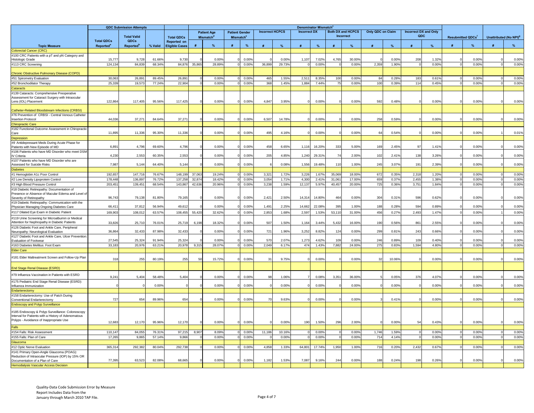|                                                                                                                                                    | <b>QDC Submission Attempts</b>             |                               |                  |                                             | <b>Denominator Mismatch</b> |                                             |                                                |                |        |                        |                     |                |           |                   |                   |                |                                     |                            |                          |                         |                                    |                |
|----------------------------------------------------------------------------------------------------------------------------------------------------|--------------------------------------------|-------------------------------|------------------|---------------------------------------------|-----------------------------|---------------------------------------------|------------------------------------------------|----------------|--------|------------------------|---------------------|----------------|-----------|-------------------|-------------------|----------------|-------------------------------------|----------------------------|--------------------------|-------------------------|------------------------------------|----------------|
|                                                                                                                                                    |                                            | <b>Total Valid</b>            |                  | <b>Total QDCs</b>                           |                             | <b>Patient Age</b><br>Mismatch <sup>d</sup> | <b>Patient Gender</b><br>Mismatch <sup>e</sup> |                |        | <b>Incorrect HCPCS</b> | <b>Incorrect DX</b> |                | Incorrect | Both DX and HCPCS | Only QDC on Claim |                | <b>Incorrect DX and Only</b><br>QDC |                            | <b>Resubmitted QDCs'</b> |                         | Unattributed (No NPI) <sup>9</sup> |                |
| <b>Topic Measure</b>                                                                                                                               | <b>Total QDCs</b><br>Reported <sup>a</sup> | QDCs<br>Reported <sup>b</sup> | % Valid          | <b>Reported on</b><br><b>Eligible Cases</b> |                             | %                                           |                                                | %              |        | $\frac{9}{6}$          |                     |                |           | $\frac{9}{6}$     |                   | $\frac{9}{6}$  |                                     | $\%$                       | #                        | %                       | #                                  | %              |
| Colorectal Cancer (CRC)                                                                                                                            |                                            |                               |                  |                                             |                             |                                             |                                                |                |        |                        |                     |                |           |                   |                   |                |                                     |                            |                          |                         |                                    |                |
| #100 CRC Patients with a pT and pN Category and<br>Histologic Grade<br>#113 CRC Screening                                                          | 15,77<br>124,134                           | 9,728<br>84,83                | 61.66%<br>68.34% | 9.730<br>84,876                             | 35,865                      | 0.00%<br>28.89%                             |                                                | 0.00%<br>0.00% | 36,899 | 0.00%<br>29.73%        | 1,107               | 7.02%<br>0.00% | 4,765     | 30.00%<br>0.00%   | 2,359             | 0.009<br>1.90% | 208                                 | 1.32 <sup>c</sup><br>0.00% |                          | $0.00^{\circ}$<br>0.00% |                                    | 0.00%<br>0.00% |
|                                                                                                                                                    |                                            |                               |                  |                                             |                             |                                             |                                                |                |        |                        |                     |                |           |                   |                   |                |                                     |                            |                          |                         |                                    |                |
| Chronic Obstructive Pulmonary Disease (COPD)<br>#51 Spirometry Evaluation                                                                          | 30,063                                     | 26,89                         | 89.45%           | 26,891                                      |                             | 0.00%                                       |                                                | 0.00%          | 465    | 1.55%                  | 2,511               | 8.35%          | 100       | 0.00%             | 84                | 0.28%          | 183                                 | 0.61%                      |                          | 0.00%                   |                                    | 0.00%          |
| #52 Bronchodilator Therapy                                                                                                                         | 25,339                                     | 19,573                        | 77.24%           | 22,904                                      |                             | 0.00%                                       |                                                | 0.00%          | 368    | 1.45%                  | 1,884               | 7.44%          | 75        | 0.00%             | 100               | 0.39%          | 114                                 | 0.45%                      |                          | 0.00%                   |                                    | 0.00%          |
| Cataracts                                                                                                                                          |                                            |                               |                  |                                             |                             |                                             |                                                |                |        |                        |                     |                |           |                   |                   |                |                                     |                            |                          |                         |                                    |                |
| #139 Cataracts: Comprehensive Preoperative<br>Assessment for Cataract Surgery with Intraocular<br>Lens (IOL) Placement                             | 122,864                                    | 117,405                       | 95.56%           | 117,425                                     |                             | 0.00%                                       |                                                | 0.00%          | 4.847  | 3.95%                  |                     | 0.00%          |           | 0.00%             | 592               | 0.48%          |                                     | 0.00%                      |                          | 0.00%                   |                                    | 0.00%          |
| Catheter-Related Bloodstream Infections (CRBSI)                                                                                                    |                                            |                               |                  |                                             |                             |                                             |                                                |                |        |                        |                     |                |           |                   |                   |                |                                     |                            |                          |                         |                                    |                |
| #76 Prevention of CRBSI - Central Venous Catheter                                                                                                  |                                            |                               |                  |                                             |                             |                                             |                                                |                |        |                        |                     |                |           |                   |                   |                |                                     |                            |                          |                         |                                    |                |
| <b>Insertion Protocol</b>                                                                                                                          | 44,03                                      | 37,27                         | 84.64%           | 37,271                                      |                             | 0.00%                                       |                                                | 0.00%          | 6,507  | 14.78%                 |                     | 0.00%          |           | 0.00%             | 258               | 0.599          |                                     | 0.00%                      |                          | 0.009                   |                                    | 0.00%          |
| <b>Chiropractic Care</b>                                                                                                                           |                                            |                               |                  |                                             |                             |                                             |                                                |                |        |                        |                     |                |           |                   |                   |                |                                     |                            |                          |                         |                                    |                |
| #182 Functional Outcome Assessment in Chiropractic                                                                                                 |                                            |                               |                  |                                             |                             |                                             |                                                |                |        |                        |                     |                |           |                   |                   |                |                                     |                            |                          |                         |                                    |                |
| Care                                                                                                                                               | 11,895                                     | 11,336                        | 95.30%           | 11,336                                      |                             | 0.00%                                       |                                                | 0.00%          | 495    | 4.16%                  |                     | 0.00%          |           | 0.00%             | 64                | 0.54%          |                                     | 0.00%                      |                          | 0.00%                   |                                    | 0.01%          |
| Depression                                                                                                                                         |                                            |                               |                  |                                             |                             |                                             |                                                |                |        |                        |                     |                |           |                   |                   |                |                                     |                            |                          |                         |                                    |                |
| #9 Antidepressant Meds During Acute Phase for<br>Patients with New Episode of MD                                                                   | 6,89                                       | 4,796                         | 69.60%           | 4,796                                       |                             | 0.00%                                       |                                                | 0.00%          | 458    | 6.65%                  | 1,116               | 16.20%         | 333       | 5.00%             | 169               | 2.45%          |                                     | 1.41%                      |                          | 0.00%                   |                                    | 0.00%          |
| #106 Patients who have MD Disorder who meet DSM                                                                                                    |                                            |                               |                  |                                             |                             |                                             |                                                |                |        |                        |                     |                |           |                   |                   |                |                                     |                            |                          |                         |                                    |                |
| IV Criteria                                                                                                                                        | 4,230                                      | 2,553                         | 60.35%           | 2,553                                       |                             | 0.00%                                       |                                                | 0.00%          | 205    | 4.85%                  | 1,240               | 29.31%         | 74        | 2.00%             | 102               | 2.41%          | 138                                 | 3.26%                      |                          | 0.00%                   |                                    | 0.00%          |
| #107 Patients who have MD Disorder who are                                                                                                         |                                            |                               |                  |                                             |                             |                                             |                                                |                |        |                        |                     |                |           |                   |                   |                |                                     |                            |                          |                         |                                    |                |
| Assessed for Suicide Risks                                                                                                                         | 7,987                                      | 5.144                         | 64.40%           | 5,144                                       |                             | 0.00%                                       |                                                | 0.00%          |        | 0.08%                  | 1,556               | 19.48%         | 110       | 1.00%             | 245               | 3.07%          | 191                                 | 2.39%                      |                          | 0.00%                   |                                    | 0.00%          |
| <b>Diabetes</b>                                                                                                                                    |                                            |                               |                  |                                             |                             |                                             |                                                |                |        |                        |                     |                |           |                   |                   |                |                                     |                            |                          |                         |                                    |                |
| #1 Hemoglobin A1c Poor Control                                                                                                                     | 192,657                                    | 147,716                       | 76.67%           | 148,199                                     | 37,063                      | 19.24%                                      |                                                | 0.00%          | 3,321  | 1.72%                  | 3,226               | 1.67%          | 35.069    | 18.00%            | 672               | 0.35%          | 2,318                               | 1.20%                      |                          | 0.00%                   |                                    | 0.00%          |
| #2 Low Density Lipoprotein Control                                                                                                                 | 178,448                                    | 136,897                       | 76.72%           | 137,258                                     | 32,874                      | 18.42%                                      |                                                | 0.00%          | 3,054  | 1.71%                  | 4,300               | 2.41%          | 31.06     | 17.00%            | 659               | 0.37%          | 2,455                               | 1.38%                      |                          | 0.00%                   |                                    | 0.00%          |
| #3 High Blood Pressure Control                                                                                                                     | 203,45                                     | 139,45                        | 68.54%           | 143,867                                     | 42,636                      | 20.96%                                      |                                                | 0.00%          | 3,238  | 1.59%                  | 12,137              | 5.97%          | 40,457    | 20.00%            | 725               | 0.36%          | 3,751                               | 1.84%                      |                          | 0.00%                   |                                    | 0.00%          |
| #18 Diabetic Retinopathy: Documentation of<br>Presence or Absence of Macular Edema and Level o                                                     |                                            |                               |                  |                                             |                             |                                             |                                                |                |        |                        |                     |                |           |                   |                   |                |                                     |                            |                          |                         |                                    |                |
| Severity of Retinopathy                                                                                                                            | 96.743                                     | 79.138                        | 81.80%           | 79,165                                      |                             | 0.00%                                       |                                                | 0.00%          | 2.42'  | 2.50%                  | 14,314              | 14.80%         | 464       | 0.00%             | 304               | 0.31%          | 596                                 | 0.62%                      |                          | 0.00%                   |                                    | 0.00%          |
| #19 Diabetic Retinopathy: Communication with the                                                                                                   |                                            |                               |                  |                                             |                             |                                             |                                                |                |        |                        |                     |                |           |                   |                   |                |                                     |                            |                          |                         |                                    |                |
| Physician Managing Ongoing Diabetes Care                                                                                                           | 66,41                                      | 37,81                         | 56.94%           | 49,612                                      |                             | 0.00%                                       |                                                | 0.00%          | 1,491  | 2.25%                  | 14,662              | 22.089         | 39        | 1.00%             | 188               | 0.28%          | 594                                 | 0.89%                      |                          | 0.009                   |                                    | 0.00%          |
| #117 Dilated Eye Exam in Diabetic Patient                                                                                                          | 169,903                                    | 108,01                        | 63.57%           | 108,455                                     | 55,420                      | 32.62%                                      |                                                | 0.00%          | 2,853  | 1.68%                  | 2,597               | 1.53%          | 53,110    | 31.00%            | 456               | 0.27%          | 2,493                               | 1.47%                      |                          | 0.00%                   |                                    | 0.00%          |
| #119 Urine Screening for Microalbumin or Medical<br>Attention for Nephropathy in Diabetic Patients                                                 | 33,826                                     | 25,710                        | 76.01%           | 25,719                                      | 6,198                       | 18.32%                                      |                                                | 0.00%          | 507    | 1.50%                  | 1,164               | 3.44%          | 5,432     | 16.00%            | 190               | 0.56%          | 861                                 | 2.55%                      |                          | 0.00%                   |                                    | 0.00%          |
| #126 Diabetic Foot and Ankle Care, Peripheral<br>Neuropathy: Neurological Evaluation                                                               | 36,86                                      | 32,43                         | 87.98%           | 32,433                                      |                             | 0.00%                                       |                                                | 0.00%          | 721    | 1.96%                  | 3,252               | 8.82%          | 124       | 0.00%             | 299               | 0.81%          | 243                                 | 0.66%                      |                          | 0.009                   |                                    | 0.00%          |
| #127 Diabetic Foot and Ankle Care, Ulcer Prevention                                                                                                |                                            |                               |                  |                                             |                             |                                             |                                                |                |        |                        |                     |                |           |                   |                   |                |                                     |                            |                          |                         |                                    |                |
| <b>Evaluation of Footwear</b>                                                                                                                      | 27,545                                     | 25,324                        | 91.94%           | 25,324                                      |                             | 0.00%                                       |                                                | 0.00%          | 570    | 2.07%                  | 1,273               | 4.62%          | 109       | 0.00%             | 246               | 0.89%          | 109                                 | 0.40%                      |                          | 0.00%                   |                                    | 0.00%          |
| #163 Diabetes Mellitus: Foot Exam                                                                                                                  | 33,183                                     | 20,976                        | 63.21%           | 20,978                                      | 9,315                       | 28.07%                                      |                                                | 0.00%          | 2,049  | 6.17%                  | 474                 | 1.43%          | 7,882     | 24.00%            | 275               | 0.83%          | 1,594                               | 4.80%                      |                          | 0.00%                   |                                    | 0.00%          |
| <b>Elder Care</b><br>#181 Elder Maltreatment Screen and Follow-Up Plan                                                                             | 318                                        | 255                           | 80.19%           | 255                                         | 50                          | 15.72%                                      |                                                | 0.00%          | 31     | 9.75%                  |                     | 0.00%          |           | 0.00%             | $\mathcal{R}$     | 10.06%         |                                     | 0.00%                      |                          | 0.00%                   |                                    | 0.00%          |
| End Stage Renal Disease (ESRD)                                                                                                                     |                                            |                               |                  |                                             |                             |                                             |                                                |                |        |                        |                     |                |           |                   |                   |                |                                     |                            |                          |                         |                                    |                |
| #79 Influenza Vaccination in Patients with ESRD                                                                                                    | 9,24                                       | 5,404                         | 58.48%           | 5,404                                       |                             | 0.00%                                       |                                                | 0.00%          | 98     | 1.06%                  |                     | 0.08%          | 3,35      | 36.00%            |                   | 0.05%          | 376                                 | 4.07%                      |                          | 0.009                   |                                    | 0.00%          |
| #175 Pediatric End Stage Renal Disease (ESRD):                                                                                                     |                                            |                               |                  |                                             |                             |                                             |                                                |                |        |                        |                     |                |           |                   |                   |                |                                     |                            |                          |                         |                                    |                |
| Influenza Immunization                                                                                                                             |                                            |                               | 0.00%            |                                             |                             | 0.00%                                       |                                                | 0.00%          |        | 0.00%                  |                     | 0.00%          |           | 0.00%             |                   | 0.00%          |                                     | 0.00%                      |                          | 0.00%                   |                                    | 0.00%          |
| Endarterectomy                                                                                                                                     |                                            |                               |                  |                                             |                             |                                             |                                                |                |        |                        |                     |                |           |                   |                   |                |                                     |                            |                          |                         |                                    |                |
| #158 Endarterectomy: Use of Patch During<br>Conventional Endarterectomy                                                                            | 727                                        | 654                           | 89.96%           | 654                                         |                             | 0.00%                                       |                                                | 0.00%          | 70     | 9.63%                  |                     | 0.00%          |           | 0.00%             |                   | 0.41%          |                                     | 0.00%                      |                          | 0.00%                   |                                    | 0.00%          |
| <b>Endoscopy and Polyp Surveillance</b>                                                                                                            |                                            |                               |                  |                                             |                             |                                             |                                                |                |        |                        |                     |                |           |                   |                   |                |                                     |                            |                          |                         |                                    |                |
|                                                                                                                                                    |                                            |                               |                  |                                             |                             |                                             |                                                |                |        |                        |                     |                |           |                   |                   |                |                                     |                            |                          |                         |                                    |                |
| #185 Endoscopy & Polyp Surveillance: Colonoscopy<br>Interval for Patients with a History of Adenomatous<br>Polyps - Avoidance of Inappropriate Use | 12,683                                     | 12,170                        | 95.96%           | 12,170                                      |                             | 0.00%                                       |                                                | 0.00%          |        | 0.00%                  | 190                 | 1.50%          | 296       | 2.00%             |                   | 0.00%          | 54                                  | 0.43%                      |                          | 0.00%                   |                                    | 0.00%          |
| <b>Falls</b>                                                                                                                                       |                                            |                               |                  |                                             |                             |                                             |                                                |                |        |                        |                     |                |           |                   |                   |                |                                     |                            |                          |                         |                                    |                |
| #154 Falls: Risk Assessment                                                                                                                        | 110,14                                     | 84.05                         | 76.31%           | 97,215                                      | 8.907                       | 8.09%                                       |                                                | 0.00%          | 11.186 | 10.16%                 |                     | 0.005          |           | 0.00%             | 1.746             | 1.59%          |                                     | 0.00%                      |                          | 0.00%                   |                                    | 0.00%          |
| #155 Falls: Plan of Care                                                                                                                           | 17,265                                     | 9,865                         | 57.14%           | 9,866                                       |                             | 0.00%                                       |                                                | 0.00%          |        | 0.00%                  |                     | 0.00%          |           | 0.00%             | 714               | 4.14%          |                                     | 0.00%                      |                          | 0.00%                   |                                    | 0.00%          |
| <b>Glaucoma</b>                                                                                                                                    |                                            |                               |                  |                                             |                             |                                             |                                                |                |        |                        |                     |                |           |                   |                   |                |                                     |                            |                          |                         |                                    |                |
| #12 Optic Nerve Evaluation                                                                                                                         | 365,31                                     | 292,38                        | 80.04%           | 292.738                                     |                             | 0.00%                                       |                                                | 0.00%          | 4.858  | 1.33%                  | 64.801              | 17.74%         | 1.950     | 1.00%             | 716               | 0.20%          | 2.432                               | 0.67%                      |                          | 0.00%                   |                                    | 0.00%          |
| #141 Primary Open-Angle Glaucoma (POAG):<br>Reduction of Intraocular Pressure (IOP) by 15% OR<br>Documentation of a Plan of Care                   | 77,395                                     | 63,523                        | 82.08%           | 68,665                                      |                             | 0.00%                                       |                                                | 0.00%          | 1,182  | 1.53%                  | 7,087               | 9.16%          | 244       | 0.00%             | 188               | 0.24%          | 198                                 | 0.26%                      |                          | 0.00%                   |                                    | 0.00%          |
| <b>Hemodialysis Vascular Access Decision</b>                                                                                                       |                                            |                               |                  |                                             |                             |                                             |                                                |                |        |                        |                     |                |           |                   |                   |                |                                     |                            |                          |                         |                                    |                |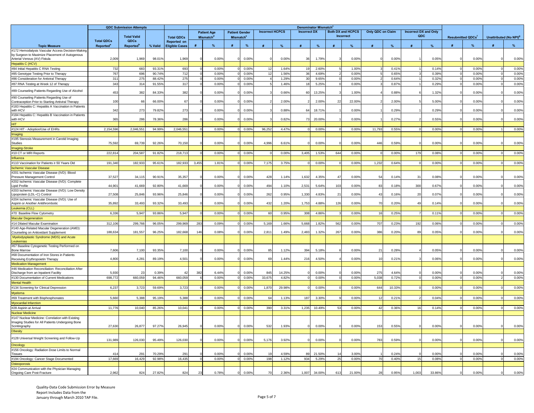|                                                                                               | <b>QDC Submission Attempts</b>                   |                                             |         |                                      | <b>Denominator Mismatch®</b> |                                                   |                                                |               |                        |               |                     |        |                 |                                       |                   |              |       |                                     |                         |       |                                    |                |
|-----------------------------------------------------------------------------------------------|--------------------------------------------------|---------------------------------------------|---------|--------------------------------------|------------------------------|---------------------------------------------------|------------------------------------------------|---------------|------------------------|---------------|---------------------|--------|-----------------|---------------------------------------|-------------------|--------------|-------|-------------------------------------|-------------------------|-------|------------------------------------|----------------|
|                                                                                               |                                                  | <b>Total Valid</b>                          |         |                                      |                              | <b>Patient Age</b><br><b>Mismatch<sup>d</sup></b> | <b>Patient Gender</b><br>Mismatch <sup>e</sup> |               | <b>Incorrect HCPCS</b> |               | <b>Incorrect DX</b> |        |                 | <b>Both DX and HCPCS</b><br>Incorrect | Only QDC on Claim |              |       | <b>Incorrect DX and Only</b><br>QDC | <b>Resubmitted QDCs</b> |       | Unattributed (No NPI) <sup>9</sup> |                |
| <b>Topic Measure</b>                                                                          | <b>Total ODCs</b><br><b>Reported<sup>a</sup></b> | <b>ODCs</b><br><b>Reported</b> <sup>b</sup> | % Valid | Reported on<br><b>Eligible Cases</b> | #                            | $\frac{9}{6}$                                     |                                                | $\frac{9}{6}$ |                        | $\frac{9}{6}$ |                     |        |                 |                                       |                   | $\mathbf{Q}$ |       | $\frac{9}{6}$                       | #                       | $\%$  | #                                  | %              |
| #172 Hemodialysis Vascular Access Decision-Making                                             |                                                  |                                             |         |                                      |                              |                                                   |                                                |               |                        |               |                     |        |                 |                                       |                   |              |       |                                     |                         |       |                                    |                |
| by Surgeon to Maximize Placement of Autogenous                                                |                                                  |                                             |         |                                      |                              |                                                   |                                                |               |                        |               |                     |        |                 |                                       |                   |              |       |                                     |                         |       |                                    |                |
| Arterial Venous (AV) Fistula                                                                  | 2,009                                            | 1,969                                       | 98.01%  | 1,969                                |                              | 0.00%                                             |                                                | 0.00%         |                        | 0.00%         | 36                  | 1.79%  |                 | 0.00%                                 |                   | 0.00%        |       | 0.05%                               |                         | 0.00% |                                    | 0.00%          |
| <b>Hepatitis C (HCV)</b><br>#84 Initial Hepatitis C RNA Testing                               | 732                                              | 683                                         | 93.319  | 693                                  |                              | 0.00%                                             |                                                | 0.00%         |                        | 1.64%         |                     | 2.60%  |                 | 1.00%                                 |                   | 0.41%        |       | 0.14%                               |                         | 0.00% |                                    | 0.00%          |
| #85 Genotype Testing Prior to Therapy                                                         | 767                                              | 696                                         | 90.74%  | 712                                  |                              | 0.00%                                             |                                                | 0.00%         | 12                     | 1.56%         | 36                  | 4.69%  |                 | 0.00%                                 |                   | 0.65%        |       | 0.39%                               |                         | 0.00% |                                    | 0.00%          |
| #86 Consideration for Antiviral Therapy                                                       | 311                                              | 275                                         | 88.429  | 275                                  |                              | 0.00%                                             |                                                | 0.00%         |                        | 1.29%         | 30                  | 9.65%  |                 | 0.00%                                 |                   | 0.64%        |       | 0.32%                               |                         | 0.00% |                                    | 0.00%          |
| #87 RNA Testing at Week 12 of Therapy                                                         | 343                                              | 314                                         | 91.55%  | 317                                  |                              | 0.00%                                             |                                                | 0.00%         |                        | 1.46%         | 18                  | 5.25%  |                 | 0.00%                                 |                   | 0.87%        |       | 0.29%                               |                         | 0.00% |                                    | 0.00%          |
| #89 Counseling Patients Regarding Use of Alcohol                                              | 453                                              | 382                                         | 84.33%  | 382                                  |                              | 0.00%                                             |                                                | 0.00%         |                        | 0.66%         | 60                  | 13.25% |                 | 1.00%                                 |                   | 0.88%        |       | 1.32%                               |                         | 0.00% |                                    | 0.00%          |
| #90 Counseling Patients Regarding Use of<br>Contraception Prior to Starting Antiviral Therapy | 100                                              | 66                                          | 66.00%  | 67                                   |                              | 0.00%                                             |                                                | 0.00%         |                        | 2.00%         |                     | 2.00%  | 2 <sup>2</sup>  | 22.00%                                |                   | 2.00%        |       | 5.00%                               |                         | 0.00% |                                    | 0.00%          |
| #183 Hepatitis C: Hepatitis A Vaccination in Patients<br>with HCV                             | 342                                              | 273                                         | 79.82%  | 273                                  |                              | 0.00%                                             |                                                | 0.00%         |                        | 0.88%         | 64                  | 18.71% |                 | 0.00%                                 |                   | 0.29%        |       | 0.29%                               |                         | 0.00% |                                    | 0.00%          |
| #184 Hepatitis C: Hepatitis B Vaccination in Patients<br>with HCV                             | 365                                              | 286                                         | 78.36%  | 286                                  |                              | 0.00%                                             |                                                | 0.00%         |                        | 0.82%         | -73                 | 20.009 |                 | 0.00%                                 |                   | 0.27%        |       | $0.55^{\circ}$                      |                         | 0.00% |                                    | 0.00%          |
| TIF                                                                                           |                                                  |                                             |         |                                      |                              |                                                   |                                                |               |                        |               |                     |        |                 |                                       |                   |              |       |                                     |                         |       |                                    |                |
| #124 HIT - Adoption/Use of EHRs                                                               | 2,154,596                                        | 2,046,551                                   | 94.99%  | 2,046,551                            |                              | 0.00%                                             |                                                | 0.00%         | 96,252                 | 4.47%         |                     | 0.00%  |                 | 0.00%                                 | 11,793            | 0.55%        |       | 0.00%                               |                         | 0.00% |                                    | 0.00%          |
| Imaging                                                                                       |                                                  |                                             |         |                                      |                              |                                                   |                                                |               |                        |               |                     |        |                 |                                       |                   |              |       |                                     |                         |       |                                    |                |
| #195 Stenosis Measurement in Carotid Imaging                                                  |                                                  |                                             |         |                                      |                              |                                                   |                                                |               |                        |               |                     |        |                 |                                       |                   |              |       |                                     |                         |       |                                    |                |
| <b>Studies</b>                                                                                | 75,592                                           | 69,739                                      | 92.26%  | 70,150                               |                              | 0.00%                                             |                                                | 0.00%         | 4,996                  | 6.61%         |                     | 0.00%  |                 | 0.00%                                 | 446               | 0.59%        |       | 0.00%                               |                         | 0.00% |                                    | 0.00%          |
| <b>Imaging-Stroke</b>                                                                         |                                                  |                                             |         |                                      |                              |                                                   |                                                |               |                        |               |                     |        | 644             |                                       |                   |              | 179   | 0.08%                               |                         |       |                                    |                |
| #10 CT or MRI Reports<br>Influenza                                                            | 222,814                                          | 204,587                                     | 91.82%  | 218,713                              |                              | 0.00%                                             |                                                | 0.00%         |                        | 0.00%         | 3,405               | 1.53%  |                 | 0.00%                                 |                   | 0.00%        |       |                                     |                         | 0.00% |                                    | 0.00%          |
| #110 Vaccination for Patients ≥ 50 Years Old                                                  | 191,340                                          | 182,93                                      | 95.61%  | 182,933                              | 3,455                        | 1.81%                                             |                                                | 0.00%         | 7,175                  | 3.75%         |                     | 0.00%  |                 | 0.00%                                 | 1,232             | 0.64%        |       | 0.00%                               |                         | 0.00% |                                    | 0.00%          |
| <b>Ischemic Vascular Disease</b>                                                              |                                                  |                                             |         |                                      |                              |                                                   |                                                |               |                        |               |                     |        |                 |                                       |                   |              |       |                                     |                         |       |                                    |                |
| #201 Ischemic Vascular Disease (IVD): Blood<br>Pressure Management Control                    | 37,527                                           | 34,115                                      | 90.91%  | 35,357                               |                              | 0.00%                                             |                                                | 0.00%         | 428                    | 1.14%         | 1,632               | 4.35%  |                 | 0.00%                                 | 5                 | 0.14%        |       | 0.08%                               |                         | 0.00% |                                    | 0.00%          |
| #202 Ischemic Vascular Disease (IVD): Complete                                                |                                                  |                                             |         |                                      |                              |                                                   |                                                |               |                        |               |                     |        |                 |                                       |                   |              |       |                                     |                         |       |                                    |                |
| Lipid Profile                                                                                 | 44,901                                           | 41,669                                      | 92.80%  | 41.669                               |                              | 0.00%                                             |                                                | 0.00%         | 494                    | 1.10%         | 2,531               | 5.64%  | 10 <sup>°</sup> | 0.00%                                 | - 81              | 0.18%        | 300   | 0.67%                               |                         | 0.00% |                                    | 0.00%          |
| #203 Ischemic Vascular Disease (IVD): Low Density<br>Lipoprotein (LDL-C) Control              | 27,508                                           | 25,84                                       | 93.96%  | 25,846                               |                              | 0.00%                                             |                                                | 0.00%         | 262                    | 0.95%         | 1,330               | 4.83%  | $\overline{2}$  | 0.00%                                 | 4 <sup>′</sup>    | 0.16%        | 20    | 0.079                               |                         | 0.00% |                                    | 0.00%          |
| #204 Ischemic Vascular Disease (IVD): Use of                                                  | 35,892                                           | 33,493                                      |         | 33,493                               |                              | 0.00%                                             |                                                | 0.00%         | 432                    |               |                     | 4.88%  | 126             | 0.00%                                 | 70                |              | 49    | 0.149                               |                         | 0.00% |                                    |                |
| Aspirin or Another Antithrombotic                                                             |                                                  |                                             | 93.32%  |                                      |                              |                                                   |                                                |               |                        | 1.20%         | 1,753               |        |                 |                                       |                   | 0.20%        |       |                                     |                         |       |                                    | 0.00%          |
| Leukemia (CLL)<br>#70 Baseline Flow Cytometry                                                 | 6,336                                            | 5,947                                       | 93.86%  | 5,947                                |                              | 0.00%                                             |                                                | 0.00%         | 60                     | 0.95%         | 308                 | 4.86%  |                 | 0.00%                                 | 16                | 0.25%        |       | 0.11%                               |                         | 0.00% |                                    | 0.00%          |
| <b>Macular Degeneration</b>                                                                   |                                                  |                                             |         |                                      |                              |                                                   |                                                |               |                        |               |                     |        |                 |                                       |                   |              |       |                                     |                         |       |                                    |                |
| #14 Dilated Macular Examination                                                               | 312,106                                          | 299,766                                     | 96.05%  | 299,969                              | 283                          | 0.09%                                             |                                                | 0.00%         | 5,169                  | 1.66%         | 5,668               | 1.82%  | 562             | 0.00%                                 | 707               | 0.23%        | 192   | 0.06%                               |                         | 0.00% |                                    | 0.00%          |
| #140 Age-Related Macular Degeneration (AMD):                                                  |                                                  |                                             |         |                                      |                              |                                                   |                                                |               |                        |               |                     |        |                 |                                       |                   |              |       |                                     |                         |       |                                    |                |
| Counseling on Antioxidant Supplement                                                          | 188,634                                          | 181,557                                     | 96.25%  | 182,668                              | 146                          | 0.08%                                             |                                                | 0.00%         | 2,81'                  | 1.49%         | 2,483               | 1.32%  | 267             | 0.00%                                 | 386               | 0.20%        | 89    | 0.05%                               |                         | 0.00% |                                    | 0.00%          |
| Myelodysplastic Syndrome (MDS) and Acute<br><b>Leukemias</b>                                  |                                                  |                                             |         |                                      |                              |                                                   |                                                |               |                        |               |                     |        |                 |                                       |                   |              |       |                                     |                         |       |                                    |                |
| #67 Baseline Cytogenetic Testing Performed on<br><b>Bone Marrow</b>                           | 7,606                                            | 7,100                                       | 93.35%  | 7,100                                |                              | 0.00%                                             |                                                | 0.00%         | 85                     | 1.12%         | 394                 | 5.189  |                 | 0.00%                                 | $\mathcal{P}$     | $0.28^{c}$   |       | $0.05^{\circ}$                      |                         | 0.00% |                                    | 0.00%          |
| #68 Documentation of Iron Stores in Patients<br>Receiving Erythropoietin Therapy              | 4,800                                            | 4,281                                       | 89.19%  | 4,501                                |                              | 0.00%                                             |                                                | 0.00%         | 69                     | 1.44%         | 216                 | 4.50%  |                 | 0.00%                                 | 10                | 0.21%        |       | 0.06%                               |                         | 0.00% |                                    | 0.00%          |
| <b>Medication Management</b>                                                                  |                                                  |                                             |         |                                      |                              |                                                   |                                                |               |                        |               |                     |        |                 |                                       |                   |              |       |                                     |                         |       |                                    |                |
| #46 Medication Reconciliation: Reconciliation After<br>Discharge from an Inpatient Facility   | 5,930                                            | $\overline{\phantom{0}}$                    | 0.39%   | 42                                   | 382                          | 6.44%                                             |                                                | 0.00%         | 845                    | 14.25%        |                     | 0.009  |                 | 0.00%                                 | 275               | 4.649        |       | 0.00%                               |                         | 0.00% |                                    | 0.00%          |
| #130 Documentation of Current Medications                                                     | 698,772                                          | 660,059                                     | 94.46%  | 660,059                              | -6                           | 0.00%                                             |                                                | 0.00%         | 33,675                 | 4.82%         |                     | 0.00%  |                 | 0.00%                                 | 5,038             | 0.72%        |       | 0.00%                               | $\Omega$                | 0.00% |                                    | 0.00%          |
| <b>Mental Health</b>                                                                          |                                                  |                                             |         |                                      |                              |                                                   |                                                |               |                        |               |                     |        |                 |                                       |                   |              |       |                                     |                         |       |                                    |                |
| #134 Screening for Clinical Depression                                                        | 6,237                                            | 3,723                                       | 59.69%  | 3,723                                |                              | 0.00%                                             |                                                | 0.00%         | 1,870                  | 29.98%        |                     | 0.00%  |                 | 0.00%                                 | 644               | 10.33%       |       | 0.00%                               |                         | 0.00% |                                    | 0.00%          |
| Myeloma                                                                                       |                                                  |                                             |         |                                      |                              |                                                   |                                                |               |                        |               |                     |        |                 |                                       |                   |              |       |                                     |                         |       |                                    |                |
| #69 Treatment with Bisphosphonates                                                            | 5,660                                            | 5,388                                       | 95.19%  | 5,388                                |                              | 0.00%                                             |                                                | 0.00%         | 64                     | 1.13%         | 187                 | 3.30%  |                 | 0.00%                                 | 12                | 0.219        |       | 0.04%                               |                         | 0.00% |                                    | 0.00%          |
| Myocardial Infarction<br>#28 Aspirin at Arrival                                               | 11,776                                           | 10,040                                      |         | 10,041                               |                              | 0.00%                                             |                                                | 0.00%         | 390                    | 3.31%         | 1,235               | 10.49% | -53             | 0.00%                                 | 42                | 0.36%        | 16    | 0.14%                               |                         | 0.00% |                                    | 0.00%          |
| Nuclear Medicine                                                                              |                                                  |                                             | 85.26%  |                                      |                              |                                                   |                                                |               |                        |               |                     |        |                 |                                       |                   |              |       |                                     |                         |       |                                    |                |
| #147 Nuclear Medicine: Correlation with Existing                                              |                                                  |                                             |         |                                      |                              |                                                   |                                                |               |                        |               |                     |        |                 |                                       |                   |              |       |                                     |                         |       |                                    |                |
| Imaging Studies for All Patients Undergoing Bone                                              |                                                  |                                             |         |                                      |                              |                                                   |                                                |               |                        |               |                     |        |                 |                                       |                   |              |       |                                     |                         |       |                                    |                |
| Scintingraphy                                                                                 | 27,630                                           | 26,877                                      | 97.27%  | 26,945                               |                              | 0.00%                                             |                                                | 0.00%         | 532                    | 1.93%         |                     | 0.00%  |                 | 0.00%                                 | 153               | 0.55%        |       | 0.009                               |                         | 0.00% |                                    | 0.00%          |
| Obesity                                                                                       |                                                  |                                             |         |                                      |                              |                                                   |                                                |               |                        |               |                     |        |                 |                                       |                   |              |       |                                     |                         |       |                                    |                |
| #128 Universal Weight Screening and Follow-Up                                                 | 131,989                                          | 126,030                                     | 95.49%  | 126,030                              |                              | 0.00%                                             |                                                | 0.00%         | 5,176                  | 3.92%         |                     | 0.00%  |                 | 0.00%                                 | 783               | 0.59%        |       | 0.00%                               |                         | 0.00% |                                    | 0.00%          |
| Oncology                                                                                      |                                                  |                                             |         |                                      |                              |                                                   |                                                |               |                        |               |                     |        |                 |                                       |                   |              |       |                                     |                         |       |                                    |                |
| #156 Oncology: Radiation Dose Limits to Normal<br><b>Tissues</b>                              | 41                                               | 29                                          | 70.29   | 291                                  |                              | 0.00%                                             |                                                | 0.009         |                        | 4.59%         |                     | 21.50% |                 | 3.00%                                 |                   | 0.24%        |       | 0.009                               |                         | 0.00% |                                    | $0.00^{\circ}$ |
| #194 Oncology: Cancer Stage Documented                                                        | 17,669                                           | 16,429                                      | 92.98%  | 16,435                               |                              | 0.00%                                             |                                                | 0.00%         | 198                    | 1.12%         | 934                 | 5.29%  | 2 <sup>F</sup>  | 0.00%                                 | 70                | 0.40%        | 15    | 0.08%                               |                         | 0.00% |                                    | 0.00%          |
| Osteoporosis                                                                                  |                                                  |                                             |         |                                      |                              |                                                   |                                                |               |                        |               |                     |        |                 |                                       |                   |              |       |                                     |                         |       |                                    |                |
| #24 Communication with the Physician Managing<br>Ongoing Care Post-Fracture                   | 2,962                                            | 824                                         | 27.82%  | 824                                  | 23                           | 0.78%                                             |                                                | 0.00%         | 70                     | 2.36%         | 1,007               | 34.00% | 613             | 21.00%                                | 28                | 0.95%        | 1,003 | 33.86%                              |                         | 0.00% |                                    | 0.00%          |
|                                                                                               |                                                  |                                             |         |                                      |                              |                                                   |                                                |               |                        |               |                     |        |                 |                                       |                   |              |       |                                     |                         |       |                                    |                |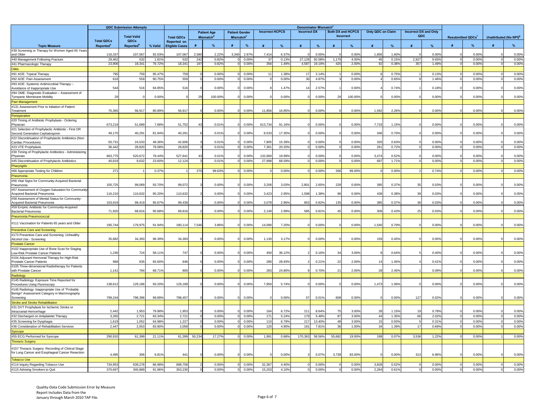|                                                                                                                                                 | <b>QDC Submission Attempts</b>             |                               |                 |                                             |                                             |                |                                                |                |                        | Denominator Mismatch <sup>c</sup> |                     |                  |                                       |                |                      |                |                                     |                |                          |                |                                    |                |
|-------------------------------------------------------------------------------------------------------------------------------------------------|--------------------------------------------|-------------------------------|-----------------|---------------------------------------------|---------------------------------------------|----------------|------------------------------------------------|----------------|------------------------|-----------------------------------|---------------------|------------------|---------------------------------------|----------------|----------------------|----------------|-------------------------------------|----------------|--------------------------|----------------|------------------------------------|----------------|
|                                                                                                                                                 |                                            | <b>Total Valid</b>            |                 | <b>Total QDCs</b>                           | <b>Patient Age</b><br>Mismatch <sup>d</sup> |                | <b>Patient Gender</b><br>Mismatch <sup>e</sup> |                | <b>Incorrect HCPCS</b> |                                   | <b>Incorrect DX</b> |                  | <b>Both DX and HCPCS</b><br>Incorrect |                | Only QDC on Claim    |                | <b>Incorrect DX and Only</b><br>QDC |                | <b>Resubmitted QDCs'</b> |                | Unattributed (No NPI) <sup>9</sup> |                |
| <b>Topic Measure</b>                                                                                                                            | <b>Total QDCs</b><br>Reported <sup>®</sup> | QDCs<br>Reported <sup>b</sup> | % Valid         | <b>Reported on</b><br><b>Eligible Cases</b> |                                             | %              |                                                | %              |                        | $O_{\Lambda}$                     |                     |                  |                                       |                |                      |                |                                     |                |                          | %              | #                                  | $\%$           |
| #39 Screening or Therapy for Women Aged 65 Years                                                                                                |                                            |                               |                 |                                             |                                             |                |                                                |                |                        |                                   |                     |                  |                                       |                |                      |                |                                     |                |                          |                |                                    |                |
| and Older                                                                                                                                       | 116,33                                     | 107.067                       | 92.03%          | 107,067                                     | 2.580                                       | 2.22%          | 3.340                                          | 2.87           | 7,414                  | 6.37%                             |                     | 0.00             |                                       | 0.00%          | 1,856                | 1.60%          |                                     | 0.00%          |                          | 0.00%          |                                    | 0.00%          |
| #40 Management Following Fracture                                                                                                               | 29,46<br>23,906                            | 532<br>18,341                 | 1.81%<br>76.72% | 532<br>18,341                               | 242<br>197                                  | 0.82%<br>0.82% |                                                | 0.00%<br>0.00% | 37<br>356              | 0.13%<br>1.49%                    | 27,128<br>4.587     | 92.08%<br>19.19% | 1.179<br>425                          | 4.00%<br>2.00% | 4 <sup>i</sup><br>Q. | 0.15%<br>0.38% | 2,927<br>357                        | 9.93%<br>1.49% |                          | 0.00%<br>0.00% |                                    | 0.00%<br>0.00% |
| #41 Pharmacologic Therapy<br><b>Otitis</b>                                                                                                      |                                            |                               |                 |                                             |                                             |                |                                                |                |                        |                                   |                     |                  |                                       |                |                      |                |                                     |                |                          |                |                                    |                |
| #91 AOE: Topical Therapy                                                                                                                        | 795                                        | 759                           | 95.47%          | 759                                         |                                             | 0.00%          |                                                | 0.00%          | 11                     | 1.38%                             | 17                  | 2.14%            |                                       | 0.00%          |                      | 0.75%          |                                     | 0.13%          |                          | 0.00%          |                                    | 0.00%          |
| #92 AOE: Pain Assessment                                                                                                                        | 616                                        | <b>559</b>                    | 90.75%          | 559                                         |                                             | 0.00%          |                                                | 0.00%          |                        | 0.00%                             | 30                  | 4.87%            |                                       | 0.00%          |                      | 0.65%          |                                     | 1.46%          |                          | 0.00%          |                                    | 0.00%          |
| #93 AOE: Systemic Antimicrobial Therapy -<br>Avoidance of Inappropriate Use                                                                     | 544                                        | 516                           | 94.85%          | 516                                         |                                             | 0.00%          |                                                | 0.00%          |                        | 1.47%                             |                     | 2.57%            |                                       | 0.00%          |                      | 0.74%          |                                     | 0.18%          |                          | 0.00%          |                                    | 0.00%          |
| #94 OME: Diagnostic Evaluation - Assessment of<br>Tympanic Membrane Mobility                                                                    | <b>29</b>                                  |                               | 0.00%           |                                             | 29                                          | 100.00%        |                                                | 0.00%          |                        | 0.00%                             |                     | 0.00%            | 29                                    | 100.00%        |                      | 0.00%          |                                     | 0.00%          |                          | 0.00%          |                                    | 0.00%          |
| Pain Management                                                                                                                                 |                                            |                               |                 |                                             |                                             |                |                                                |                |                        |                                   |                     |                  |                                       |                |                      |                |                                     |                |                          |                |                                    |                |
| #131 Assessment Prior to Initiation of Patient<br>Treatment                                                                                     | 70,365                                     | 56,917                        | 80.89%          | 56,917                                      |                                             | 0.00%          |                                                | 0.00%          | 11.85                  | 16.85%                            |                     | 0.00%            |                                       | 0.00%          | 1,592                | 2.26%          |                                     | 0.00%          |                          | 0.00%          |                                    | 0.00%          |
| Perioperative                                                                                                                                   |                                            |                               |                 |                                             |                                             |                |                                                |                |                        |                                   |                     |                  |                                       |                |                      |                |                                     |                |                          |                |                                    |                |
| #20 Timing of Antibiotic Prophylaxis - Ordering<br>Physician                                                                                    | 673,219                                    | 51.689                        | 7.68%           | 51,752                                      | 43                                          | 0.01%          |                                                | 0.00%          | 613,734                | 91.16%                            |                     | 0.00%            |                                       | 0.00%          | 7,733                | 1.15%          |                                     | 0.00%          |                          | 0.00%          |                                    | 0.00%          |
| #21 Selection of Prophylactic Antibiotic - First OR<br>Second Generation Cephalosporin<br>#22 Discontinuation of Prophylactic Antibiotics (Non- | 49,170                                     | 40,291                        | 81.94%          | 40,291                                      |                                             | 0.01%          |                                                | 0.00%          | 8,533                  | 17.35%                            |                     | 0.00%            |                                       | 0.00%          | 346                  | 0.70%          |                                     | 0.00%          |                          | 0.00%          |                                    | 0.00%          |
| Cardiac Procedures)                                                                                                                             | 50,73'                                     | 24.53                         | 48.36%          | 42,606                                      |                                             | 0.01%          |                                                | 0.00%          | 7.80                   | 15.39%                            |                     | 0.009            |                                       | 0.00%          | 32 <sub>0</sub>      | 0.63%          |                                     | 0.00%          |                          | $0.00^{\circ}$ |                                    | 0.00%          |
| #23 VTE Prophylaxis                                                                                                                             | 36,442                                     | 28,820                        | 79.08%          | 28,820                                      |                                             | 0.01%          |                                                | 0.00%          | 7,361                  | 20.20%                            |                     | 0.00%            |                                       | 0.00%          | 261                  | 0.72%          |                                     | 0.00%          |                          | 0.00%          |                                    | 0.00%          |
| #30 Timing of Prophylactic Antibiotics - Administering                                                                                          |                                            |                               |                 |                                             |                                             |                |                                                |                |                        |                                   |                     |                  |                                       |                |                      |                |                                     |                |                          |                |                                    |                |
| Physician                                                                                                                                       | 663,77                                     | 520,67                        | 78.44%          | 527,641                                     | 43                                          | 0.01%          |                                                | 0.00%          | 132,660                | 19.99%                            |                     | 0.00%            |                                       | 0.00%          | 3.47                 | 0.52%          |                                     | 0.00%          |                          | 0.00%          |                                    | 0.00%          |
| #45 Discontinuation of Prophylactic Antibiotics                                                                                                 | 40,819                                     | 9,632                         | 23.60%          | 12,124                                      |                                             | 0.01%          |                                                | 0.00%          | 27,998                 | 68.59%                            |                     | 0.00%            |                                       | 0.00%          | 697                  | 1.71%          |                                     | 0.00%          |                          | 0.00%          |                                    | 0.00%          |
| Pharyngitis                                                                                                                                     | 27'                                        |                               | 0.37%           |                                             | 270                                         | 99.63%         |                                                | 0.00%          |                        | 0.00%                             |                     | 0.00%            | 268                                   | 99.00%         |                      | 0.00%          |                                     | 0.74%          |                          | 0.00%          |                                    | 0.00%          |
| #66 Appropriate Testing for Children<br>Pneumonia                                                                                               |                                            |                               |                 |                                             |                                             |                |                                                |                |                        |                                   |                     |                  |                                       |                |                      |                |                                     |                |                          |                |                                    |                |
| #56 Vital Signs for Community-Acquired Bacterial                                                                                                |                                            |                               |                 |                                             |                                             |                |                                                |                |                        |                                   |                     |                  |                                       |                |                      |                |                                     |                |                          |                |                                    |                |
| Pneumonia                                                                                                                                       | 105,725                                    | 99,069                        | 93.70%          | 99.072                                      |                                             | 0.00%          |                                                | 0.00%          | 3,206                  | 3.03%                             | 2,801               | 2.65%            | 228                                   | 0.00%          | 39                   | 0.37%          |                                     | 0.03%          |                          | 0.00%          |                                    | 0.00%          |
| #57 Assessment of Oxygen Saturation for Community<br>Acquired Bacterial Pneumonia                                                               | 116,210                                    | 110,632                       | 95.20%          | 110,632                                     |                                             | 0.00%          |                                                | 0.00%          | 3,423                  | 2.95%                             | 1,598               | 1.38%            |                                       | 0.00%          | 439                  | 0.38%          | 39                                  | 0.03%          |                          | 0.00%          |                                    | 0.00%          |
| #58 Assessment of Mental Status for Community-<br><b>Acquired Bacterial Pneumonia</b>                                                           | 103,919                                    | 99.41                         | 95.67%          | 99,439                                      |                                             | 0.00%          |                                                | 0.00%          | 3,078                  | 2.96%                             | 853                 | 0.82%            | 135                                   | 0.00%          | 385                  | 0.37%          | 36                                  | 0.03%          |                          | 0.00%          |                                    | 0.00%          |
| #59 Empiric Antibiotic for Community-Acquired<br>Bacterial Pneumonia                                                                            | 71,920                                     | 68,81                         | 95.68%          | 68,816                                      |                                             | 0.00%          |                                                | 0.00%          | 2,149                  | 2.99%                             | 585                 | 0.81%            | $\Lambda^{\mathfrak{g}}$              | 0.00%          | 309                  | 0.43%          | 25                                  | 0.03%          |                          | 0.00%          |                                    | 0.00%          |
| Pneumonia Pneumococcal                                                                                                                          |                                            |                               |                 |                                             |                                             |                |                                                |                |                        |                                   |                     |                  |                                       |                |                      |                |                                     |                |                          |                |                                    |                |
| #111 Vaccination for Patients 65 years and Older                                                                                                | 195,744                                    | 179,97                        | 91.94%          | 180,114                                     | 7.546                                       | 3.86%          |                                                | 0.00%          | 14,090                 | 7.20%                             |                     | 0.00%            |                                       | 0.00%          | 1,54                 | 0.79%          |                                     | 0.00%          |                          | 0.00%          |                                    | 0.00%          |
| <b>Preventive Care and Screening</b><br>#173 Preventive Care and Screening: Unhealthy                                                           |                                            |                               |                 |                                             |                                             |                |                                                |                |                        |                                   |                     |                  |                                       |                |                      |                |                                     |                |                          |                |                                    |                |
| Alcohol Use - Screening                                                                                                                         | 35,682                                     | 34.39                         | 96.39%          | 34.393                                      |                                             | 0.00%          |                                                | 0.00%          | 1.130                  | 3.17%                             |                     | 0.00%            |                                       | 0.00%          | 159                  | 0.45%          |                                     | $0.00^{\circ}$ |                          | 0.00%          |                                    | 0.00%          |
| <b>Prostate Cancer</b>                                                                                                                          |                                            |                               |                 |                                             |                                             |                |                                                |                |                        |                                   |                     |                  |                                       |                |                      |                |                                     |                |                          |                |                                    |                |
| #102 Inappropriate Use of Bone Scan for Staging                                                                                                 |                                            |                               |                 |                                             |                                             |                |                                                |                |                        |                                   |                     |                  |                                       |                |                      |                |                                     |                |                          |                |                                    |                |
| Low-Risk Prostate Cancer Patients<br>#104 Adjuvant Hormonal Therapy for High-Risk                                                               | 1,246                                      | 724                           | 58.119          | 747                                         |                                             | 0.00%          |                                                | 0.00%          | 450                    | 36.129                            |                     | 0.169            | $\mathbf{a}$                          | 3.00%          |                      | 0.64%          |                                     | 0.409          |                          | 0.00%          |                                    | 0.00%          |
| Prostate Cancer Patients                                                                                                                        | 968                                        | 635                           | 65.60%          | 646                                         |                                             | 0.00%          |                                                | 0.00%          | 280                    | 28.93%                            |                     | 0.21%            |                                       | 2.00%          |                      | 1.45%          |                                     | 0.419          |                          | 0.00           |                                    | 0.00%          |
| #105 Three-dimensional Radiotherapy for Patients<br>with Prostate Cancer                                                                        | 1,141                                      | 784                           | 68.71%          | 800                                         |                                             | 0.00%          |                                                | 0.00%          | 283                    | 24.80%                            |                     | 0.70%            | 21                                    | 2.00%          | 28                   | 2.45%          |                                     | 0.09%          |                          | 0.00%          |                                    | 0.00%          |
| Radiology                                                                                                                                       |                                            |                               |                 |                                             |                                             |                |                                                |                |                        |                                   |                     |                  |                                       |                |                      |                |                                     |                |                          |                |                                    |                |
| #145 Radiology: Exposure Time Reported for<br>Procedures Using Fluoroscopy                                                                      | 138,612                                    | 129,186                       | 93.20%          | 129,189                                     |                                             | 0.00%          |                                                | 0.00%          | 7,950                  | 5.74%                             |                     | 0.00%            |                                       | 0.00%          | 1,473                | 1.06%          |                                     | 0.00%          |                          | 0.00%          |                                    | 0.00%          |
| #146 Radiology: Inappropriate Use of "Probably<br>Benign" Assessment Category in Mammography<br>Screening                                       | 799,244                                    | 798,396                       | 99.89%          | 798,457                                     |                                             | 0.00%          |                                                | 0.00%          |                        | 0.00%                             | 57                  | 0.01%            | 608                                   | 0.00%          |                      | 0.00%          | 127                                 | 0.02%          |                          | 0.00%          |                                    | 0.00%          |
| <b>Stroke and Stroke Rehabilitation</b>                                                                                                         |                                            |                               |                 |                                             |                                             |                |                                                |                |                        |                                   |                     |                  |                                       |                |                      |                |                                     |                |                          |                |                                    |                |
| #31 DVT Prophylaxis for Ischemic Stroke or                                                                                                      |                                            |                               |                 |                                             |                                             |                |                                                |                |                        |                                   |                     |                  |                                       |                |                      |                |                                     |                |                          |                |                                    |                |
| Intracranial Hemorrhage                                                                                                                         | 2.44                                       | 1,953                         | 79.98%          | 1,953                                       |                                             | 0.00%          |                                                | 0.00%          | 164                    | 6.72%                             | 211                 | 8.64%            |                                       | 3.00%          | 21                   | 1.15%          |                                     | 0.78%          |                          | 0.00%          |                                    | 0.00%          |
| #32 Discharged on Antiplatelet Therapy                                                                                                          | 3,265                                      | 2,72                          | 83.34%          | 2.721                                       |                                             | 0.00%          |                                                | 0.00%          | 171                    | 5.24%                             | 179                 | 5.48%            | 87                                    | 3.00%          | $\Delta\Delta$       | 1.35%          | 66                                  | 2.02%          |                          | 0.00%          |                                    | 0.00%          |
| #35 Screening for Dysphagia                                                                                                                     | 1,61                                       | 1,052                         | 64.98%          | 1,227                                       |                                             | 0.00%          |                                                | 0.00%          | 110                    | 6.79%                             | 217                 | 13.40%           | 48                                    | 3.00%          |                      | 0.93%          |                                     | 0.31%          |                          | 0.00           |                                    | 0.00%          |
| #36 Consideration of Rehabilitation Services                                                                                                    | 2,447                                      | 2,053                         | 83.90%          | 2,058                                       |                                             | 0.00%          |                                                | 0.00%          | 120                    | 4.90%                             | 191                 | 7.81%            | 36                                    | 1.00%          | 34                   | 1.39%          | 17                                  | 0.69%          |                          | 0.00%          |                                    | 0.00%          |
| Syncope                                                                                                                                         |                                            |                               |                 |                                             |                                             |                |                                                |                |                        |                                   |                     |                  |                                       |                |                      |                |                                     |                |                          |                |                                    |                |
| #55 ECG Performed for Syncope<br><b>Thoracic Surger</b>                                                                                         | 290,910                                    | 61,399                        | 21.11%          | 61,399                                      | 50,234                                      | 17.27%         |                                                | 0.00%          | 1,991                  | 0.68%                             | 170,363             | 58.56%           | 55,682                                | 19.00%         | 199                  | 0.07%          | 3,536                               | 1.22%          |                          | 0.00%          |                                    | 0.00%          |
|                                                                                                                                                 |                                            |                               |                 |                                             |                                             |                |                                                |                |                        |                                   |                     |                  |                                       |                |                      |                |                                     |                |                          |                |                                    |                |
| #157 Thoracic Surgery: Recording of Clinical Stage<br>for Lung Cancer and Esophageal Cancer Resection                                           | 4.49                                       | 306                           | 6.81%           | 441                                         |                                             | 0.00%          |                                                | 0.00%          |                        | 0.00%                             |                     | 0.07%            | 3,738                                 | 83.00%         |                      | 0.00%          | 313                                 | 6.96%          |                          | 0.00%          |                                    | 0.00%          |
| <b>Tobacco Use</b>                                                                                                                              |                                            |                               |                 |                                             |                                             |                |                                                |                |                        |                                   |                     |                  |                                       |                |                      |                |                                     |                |                          |                |                                    |                |
| #114 Inquiry Regarding Tobacco Use                                                                                                              | 734,95                                     | 639,27                        | 86.98%          | 698.75                                      |                                             | 0.00%          |                                                | 0.00%          | 32,367                 | 4.40%                             |                     | 0.00%            |                                       | 0.00%          | 3,828                | 0.52%          |                                     | 0.00%          |                          | 0.00%          | $\Omega$                           | 0.00%          |
| #115 Advising Smokers to Quit                                                                                                                   | 370,697                                    | 340,889                       | 91.96%          | 353,230                                     |                                             | 0.00%          |                                                | 0.00%          | 15,203                 | 4.10%                             | $\Omega$            | 0.00%            |                                       | 0.00%          | 2,264                | 0.61%          |                                     | 0.00%          |                          | 0.00%          | $\Omega$                           | 0.00%          |